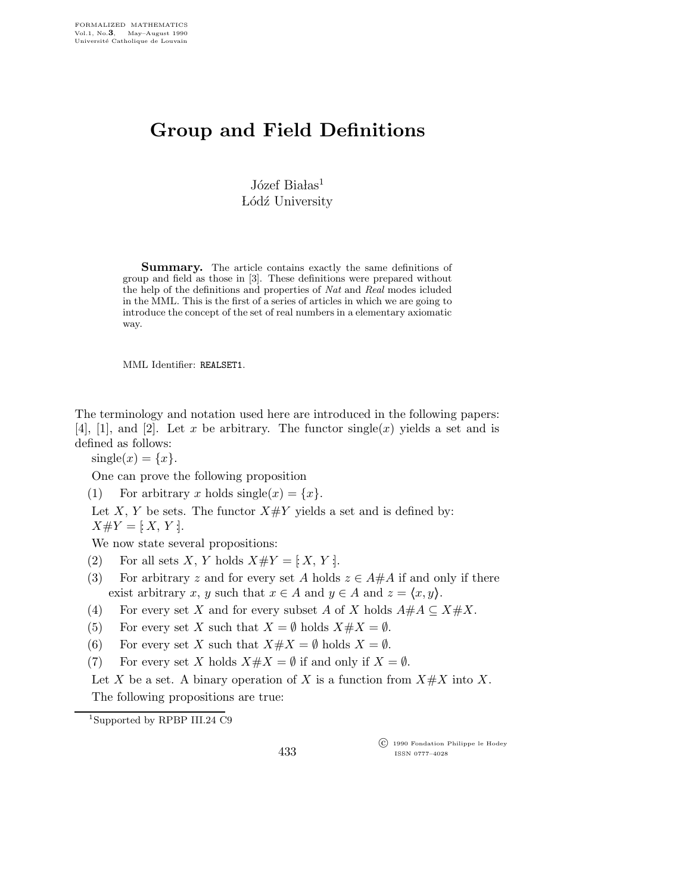## Group and Field Definitions

 $J$ ózef Białas<sup>1</sup> Lódź University

Summary. The article contains exactly the same definitions of group and field as those in [3]. These definitions were prepared without the help of the definitions and properties of Nat and Real modes icluded in the MML. This is the first of a series of articles in which we are going to introduce the concept of the set of real numbers in a elementary axiomatic way.

MML Identifier: REALSET1.

The terminology and notation used here are introduced in the following papers: [4], [1], and [2]. Let x be arbitrary. The functor  $\text{single}(x)$  yields a set and is defined as follows:

 $single(x) = \{x\}.$ 

One can prove the following proposition

(1) For arbitrary x holds  $single(x) = \{x\}.$ 

Let X, Y be sets. The functor  $X \# Y$  yields a set and is defined by:  $X \# Y = [X, Y].$ 

We now state several propositions:

- (2) For all sets X, Y holds  $X \# Y = [X, Y]$ .
- (3) For arbitrary z and for every set A holds  $z \in A \# A$  if and only if there exist arbitrary x, y such that  $x \in A$  and  $y \in A$  and  $z = \langle x, y \rangle$ .
- (4) For every set X and for every subset A of X holds  $A\#A \subseteq X\#X$ .
- (5) For every set X such that  $X = \emptyset$  holds  $X \# X = \emptyset$ .
- (6) For every set X such that  $X \# X = \emptyset$  holds  $X = \emptyset$ .
- (7) For every set X holds  $X \# X = \emptyset$  if and only if  $X = \emptyset$ .

Let X be a set. A binary operation of X is a function from  $X \# X$  into X. The following propositions are true:

<sup>1</sup>Supported by RPBP III.24 C9

 c 1990 Fondation Philippe le Hodey ISSN 0777–4028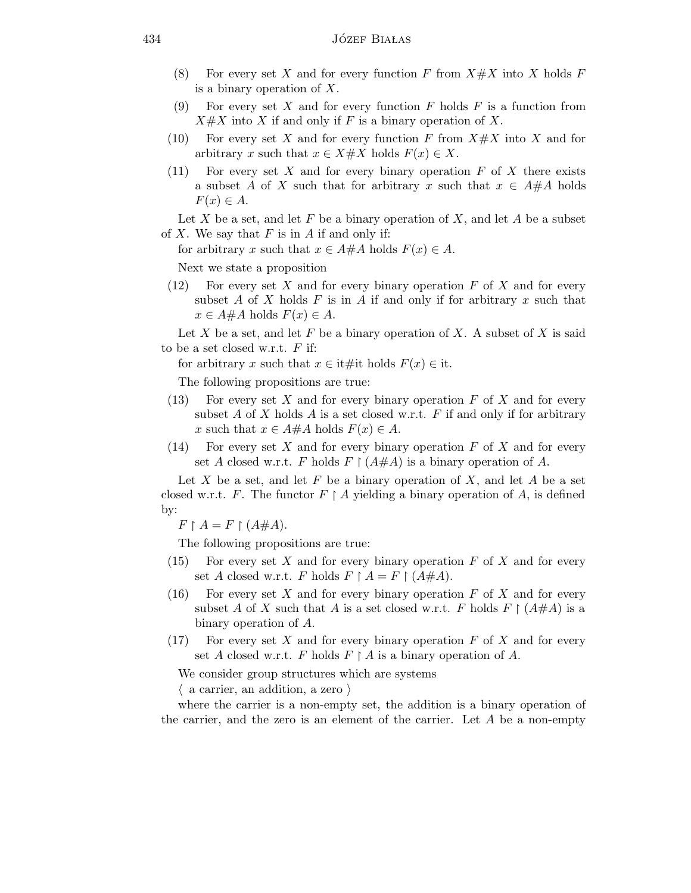- (8) For every set X and for every function F from  $X \# X$  into X holds F is a binary operation of X.
- (9) For every set X and for every function F holds F is a function from  $X \# X$  into X if and only if F is a binary operation of X.
- (10) For every set X and for every function F from  $X \# X$  into X and for arbitrary x such that  $x \in X \# X$  holds  $F(x) \in X$ .
- (11) For every set X and for every binary operation  $F$  of X there exists a subset A of X such that for arbitrary x such that  $x \in A#A$  holds  $F(x) \in A$ .

Let X be a set, and let F be a binary operation of X, and let A be a subset of X. We say that  $F$  is in  $A$  if and only if:

for arbitrary x such that  $x \in A \# A$  holds  $F(x) \in A$ .

Next we state a proposition

 $(12)$  For every set X and for every binary operation F of X and for every subset A of X holds F is in A if and only if for arbitrary x such that  $x \in A \# A$  holds  $F(x) \in A$ .

Let X be a set, and let F be a binary operation of X. A subset of X is said to be a set closed w.r.t.  $F$  if:

for arbitrary x such that  $x \in \text{it#it holds } F(x) \in \text{it.}$ 

The following propositions are true:

- (13) For every set X and for every binary operation  $F$  of X and for every subset  $A$  of  $X$  holds  $A$  is a set closed w.r.t.  $F$  if and only if for arbitrary x such that  $x \in A \# A$  holds  $F(x) \in A$ .
- (14) For every set X and for every binary operation  $F$  of X and for every set A closed w.r.t. F holds  $F \restriction (A \# A)$  is a binary operation of A.

Let X be a set, and let F be a binary operation of X, and let A be a set closed w.r.t. F. The functor  $F \upharpoonright A$  yielding a binary operation of A, is defined by:

 $F \upharpoonright A = F \upharpoonright (A \# A).$ 

The following propositions are true:

- $(15)$  For every set X and for every binary operation F of X and for every set A closed w.r.t. F holds  $F \upharpoonright A = F \upharpoonright (A \# A)$ .
- (16) For every set X and for every binary operation  $F$  of X and for every subset A of X such that A is a set closed w.r.t. F holds  $F \restriction (A \# A)$  is a binary operation of A.
- $(17)$  For every set X and for every binary operation F of X and for every set A closed w.r.t. F holds  $F \upharpoonright A$  is a binary operation of A.

We consider group structures which are systems

 $\langle$  a carrier, an addition, a zero  $\rangle$ 

where the carrier is a non-empty set, the addition is a binary operation of the carrier, and the zero is an element of the carrier. Let  $A$  be a non-empty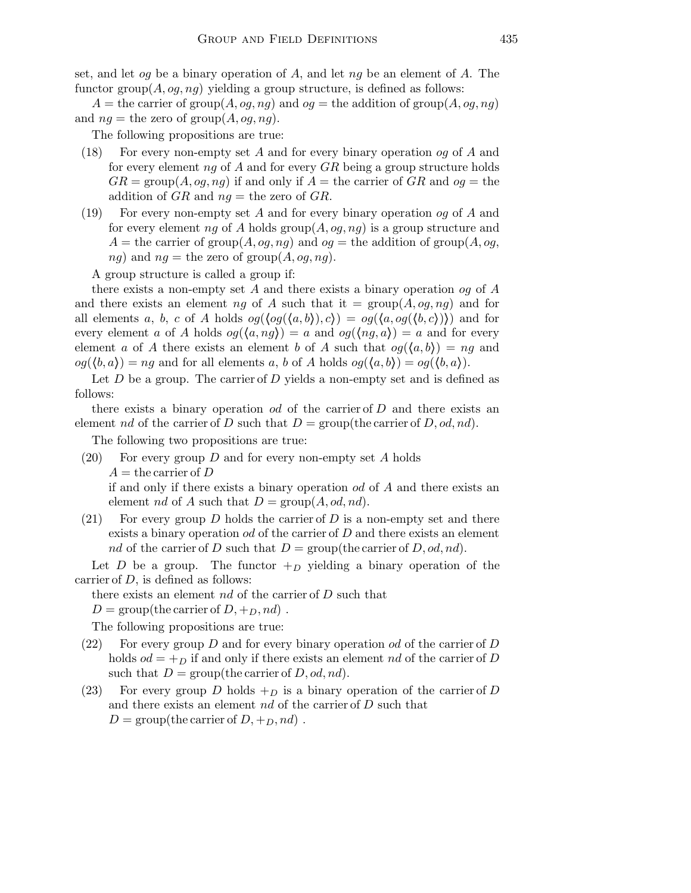set, and let *og* be a binary operation of  $A$ , and let  $ng$  be an element of  $A$ . The functor group( $A, og, ng$ ) yielding a group structure, is defined as follows:

 $A =$  the carrier of group $(A, og, ng)$  and  $og =$  the addition of group $(A, og, ng)$ and  $ng =$  the zero of group $(A, og, ng)$ .

The following propositions are true:

- (18) For every non-empty set A and for every binary operation og of A and for every element ng of A and for every  $GR$  being a group structure holds  $GR = \text{group}(A, oq, nq)$  if and only if  $A =$  the carrier of  $GR$  and  $oq =$  the addition of  $GR$  and  $ng$  = the zero of  $GR$ .
- (19) For every non-empty set A and for every binary operation og of A and for every element ng of A holds group $(A, og, ng)$  is a group structure and  $A =$  the carrier of group $(A, og, ng)$  and  $og =$  the addition of group $(A, og,$ ng) and  $ng =$  the zero of group $(A, og, ng)$ .

A group structure is called a group if:

there exists a non-empty set A and there exists a binary operation og of A and there exists an element ng of A such that it =  $\text{group}(A, og, ng)$  and for all elements a, b, c of A holds  $og(\langle og(\langle a,b \rangle),c \rangle) = og(\langle a,og(\langle b,c \rangle))$  and for every element a of A holds  $og(\langle a, ng \rangle) = a$  and  $og(\langle ng, a \rangle) = a$  and for every element a of A there exists an element b of A such that  $og(\langle a,b \rangle) = ng$  and  $o(g(\langle b,a \rangle) = ng$  and for all elements a, b of A holds  $o(g(\langle a,b \rangle) = og(\langle b,a \rangle)$ .

Let  $D$  be a group. The carrier of  $D$  yields a non-empty set and is defined as follows:

there exists a binary operation od of the carrier of  $D$  and there exists an element nd of the carrier of D such that  $D = \text{group}(\text{the carrier of } D, od, nd).$ 

The following two propositions are true:

 $(20)$  For every group D and for every non-empty set A holds  $A =$  the carrier of D

if and only if there exists a binary operation od of  $A$  and there exists an element nd of A such that  $D = \text{group}(A,od,nd)$ .

(21) For every group D holds the carrier of D is a non-empty set and there exists a binary operation od of the carrier of D and there exists an element nd of the carrier of D such that  $D = \text{group}(\text{the carrier of } D, od, nd).$ 

Let D be a group. The functor  $+_D$  yielding a binary operation of the carrier of  $D$ , is defined as follows:

there exists an element nd of the carrier of D such that

 $D = \text{group}(\text{the carrier of } D, +_D, nd)$ .

The following propositions are true:

- (22) For every group  $D$  and for every binary operation od of the carrier of  $D$ holds  $od = +D$  if and only if there exists an element nd of the carrier of D such that  $D = \text{group}$  (the carrier of D, od, nd).
- (23) For every group D holds  $+_{D}$  is a binary operation of the carrier of D and there exists an element nd of the carrier of D such that  $D = \text{group}(\text{the carrier of } D, +_D, nd)$ .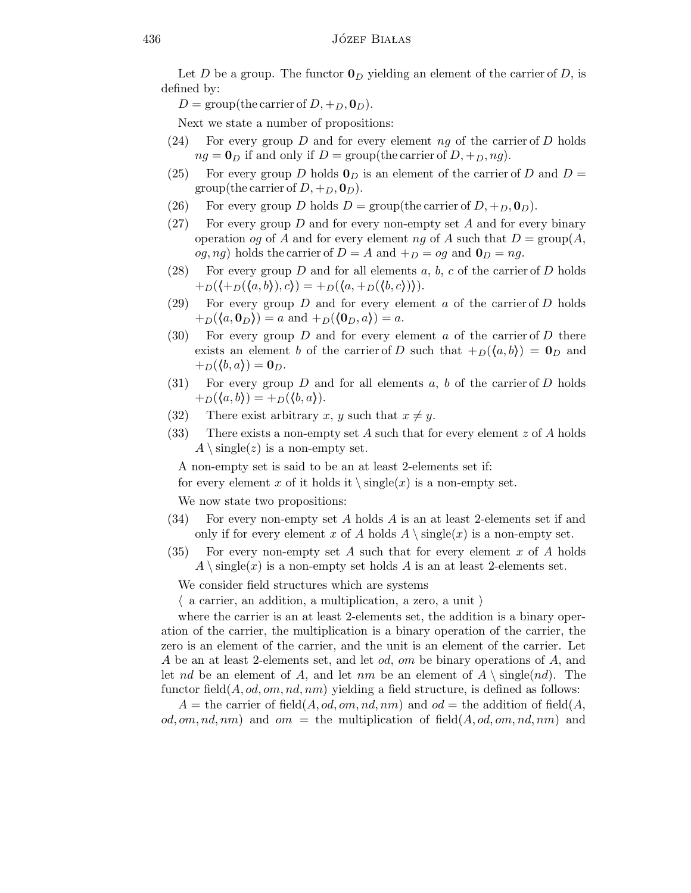Let D be a group. The functor  $\mathbf{0}_D$  yielding an element of the carrier of D, is defined by:

 $D = \text{group}(\text{the carrier of } D, +D, \mathbf{0}_D).$ 

Next we state a number of propositions:

- (24) For every group D and for every element  $ng$  of the carrier of D holds  $ng = \mathbf{0}_D$  if and only if  $D = \text{group}(\text{the carrier of } D, +_D, ng).$
- (25) For every group D holds  $\mathbf{0}_D$  is an element of the carrier of D and  $D =$ group(the carrier of  $D, +_D, \mathbf{0}_D$ ).
- (26) For every group D holds  $D = \text{group}(\text{the carrier of } D, +_D, \mathbf{0}_D)$ .
- (27) For every group  $D$  and for every non-empty set  $A$  and for every binary operation og of A and for every element ng of A such that  $D = \text{group}(A,$ *og*, ng) holds the carrier of  $D = A$  and  $+_{D} = og$  and  $\mathbf{0}_{D} = ng$ .
- (28) For every group D and for all elements  $a, b, c$  of the carrier of D holds  $+D(\langle +D(\langle a,b \rangle),c\rangle) = +D(\langle a,+D(\langle b,c \rangle)\rangle).$
- (29) For every group  $D$  and for every element  $a$  of the carrier of  $D$  holds  $+_D(\langle a, \mathbf{0}_D \rangle) = a$  and  $+_D(\langle \mathbf{0}_D, a \rangle) = a$ .
- (30) For every group  $D$  and for every element  $a$  of the carrier of  $D$  there exists an element b of the carrier of D such that  $+_D(\langle a,b \rangle) = \mathbf{0}_D$  and  $+_{D}(\langle b,a\rangle) = \mathbf{0}_{D}.$
- (31) For every group D and for all elements  $a, b$  of the carrier of D holds  $+_{D}(\langle a,b\rangle) = +_{D}(\langle b,a\rangle).$
- (32) There exist arbitrary x, y such that  $x \neq y$ .
- (33) There exists a non-empty set A such that for every element  $z$  of A holds  $A \setminus single(z)$  is a non-empty set.

A non-empty set is said to be an at least 2-elements set if:

for every element x of it holds it  $\langle \text{single}(x) \rangle$  is a non-empty set.

We now state two propositions:

- $(34)$  For every non-empty set A holds A is an at least 2-elements set if and only if for every element x of A holds  $A \setminus \{ \text{single}(x) \}$  is a non-empty set.
- $(35)$  For every non-empty set A such that for every element x of A holds  $A \setminus \text{single}(x)$  is a non-empty set holds A is an at least 2-elements set.

We consider field structures which are systems

 $\langle$  a carrier, an addition, a multiplication, a zero, a unit  $\rangle$ 

where the carrier is an at least 2-elements set, the addition is a binary operation of the carrier, the multiplication is a binary operation of the carrier, the zero is an element of the carrier, and the unit is an element of the carrier. Let A be an at least 2-elements set, and let od, om be binary operations of A, and let nd be an element of A, and let nm be an element of  $A \setminus \{ \text{single}(nd) \}$ . functor field( $A, od, om, nd, nm$ ) yielding a field structure, is defined as follows:

 $A =$  the carrier of field(A, od, om, nd, nm) and od = the addition of field(A, od, om, nd, nm) and om = the multiplication of field( $A, od, om, nd, nm$ ) and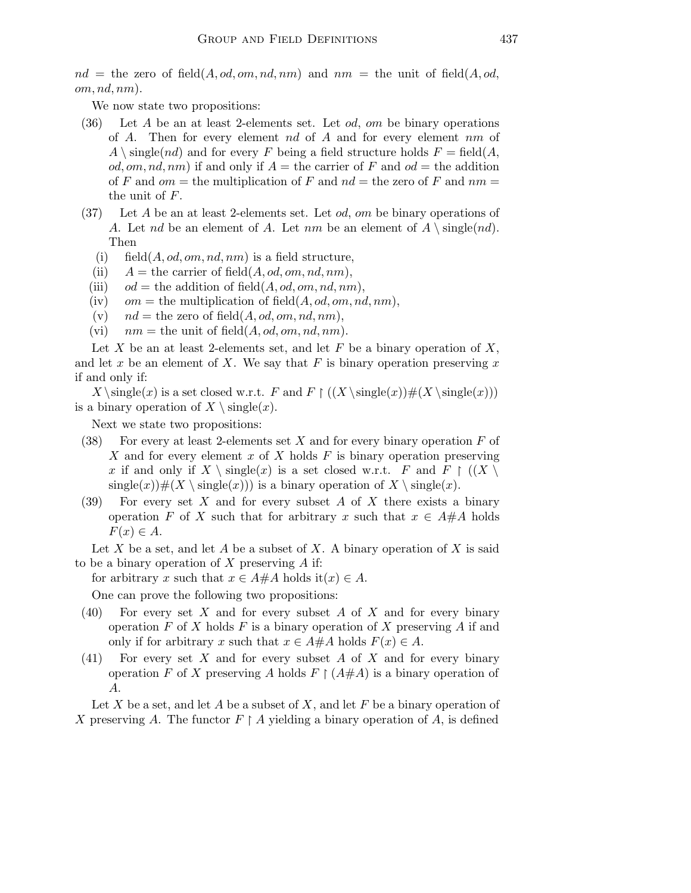$nd =$  the zero of field $(A, od, om, nd, nm)$  and  $nm =$  the unit of field $(A, od,$  $om,nd,nm$ ).

We now state two propositions:

- (36) Let A be an at least 2-elements set. Let  $od$ ,  $om$  be binary operations of A. Then for every element nd of A and for every element nm of  $A \setminus \{d}$  and for every F being a field structure holds  $F = \text{field}(A,$ od, om, nd, nm) if and only if  $A =$  the carrier of F and od = the addition of F and  $om =$  the multiplication of F and  $nd =$  the zero of F and  $nm =$ the unit of F.
- $(37)$  Let A be an at least 2-elements set. Let *od*, *om* be binary operations of A. Let nd be an element of A. Let nm be an element of  $A \setminus \{single(nd)\}$ . Then
	- (i) field( $A, od, om, nd, nm$ ) is a field structure,
	- (ii)  $A =$  the carrier of field(A, od, om, nd, nm),
	- (iii)  $od =$  the addition of field(A, od, om, nd, nm),
	- (iv)  $om =$  the multiplication of field(A, od, om, nd, nm),
	- (v)  $nd =$  the zero of field(A, od, om, nd, nm),
	- (vi)  $nm =$  the unit of field(A, od, om, nd, nm).

Let X be an at least 2-elements set, and let F be a binary operation of  $X$ , and let x be an element of X. We say that F is binary operation preserving x if and only if:

X \single(x) is a set closed w.r.t. F and  $F \restriction ((X \setminus \{X \setminus \{X \setminus \{x\}}))$ is a binary operation of  $X \setminus \{ \text{single}(x) \}$ .

Next we state two propositions:

- (38) For every at least 2-elements set X and for every binary operation  $F$  of X and for every element x of X holds  $F$  is binary operation preserving x if and only if  $X \setminus \text{single}(x)$  is a set closed w.r.t. F and  $F \restriction ((X \setminus$  $single(x))\#(X \setminus single(x))$  is a binary operation of  $X \setminus single(x)$ .
- (39) For every set X and for every subset A of X there exists a binary operation F of X such that for arbitrary x such that  $x \in A#A$  holds  $F(x) \in A$ .

Let X be a set, and let A be a subset of X. A binary operation of X is said to be a binary operation of  $X$  preserving  $A$  if:

for arbitrary x such that  $x \in A \# A$  holds it $(x) \in A$ .

One can prove the following two propositions:

- $(40)$  For every set X and for every subset A of X and for every binary operation  $F$  of  $X$  holds  $F$  is a binary operation of  $X$  preserving  $A$  if and only if for arbitrary x such that  $x \in A \# A$  holds  $F(x) \in A$ .
- $(41)$  For every set X and for every subset A of X and for every binary operation F of X preserving A holds  $F \restriction (A \# A)$  is a binary operation of A.

Let X be a set, and let A be a subset of X, and let F be a binary operation of X preserving A. The functor  $F \upharpoonright A$  yielding a binary operation of A, is defined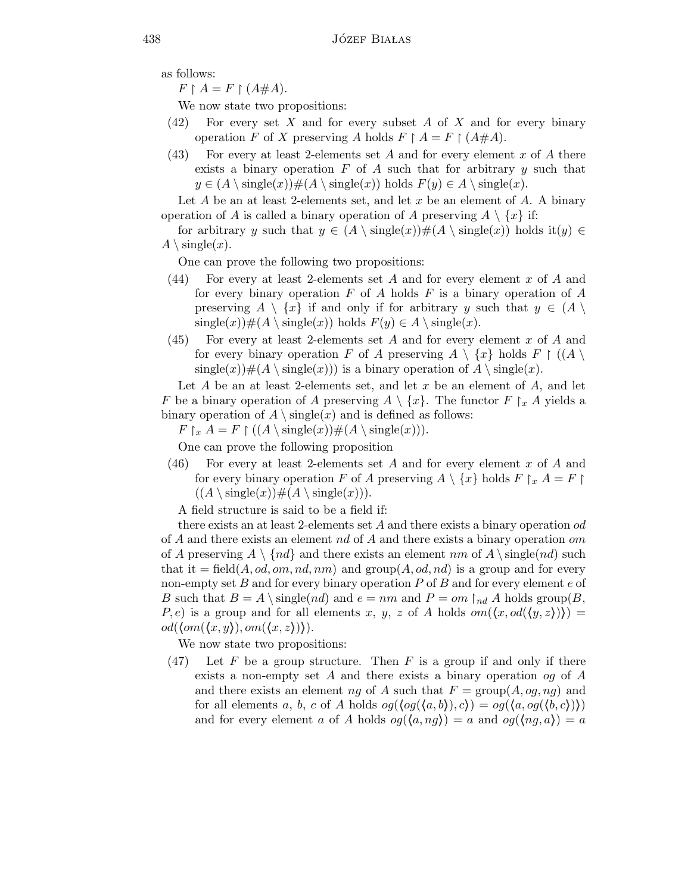as follows:

 $F \upharpoonright A = F \upharpoonright (A \# A).$ 

We now state two propositions:

- $(42)$  For every set X and for every subset A of X and for every binary operation F of X preserving A holds  $F \upharpoonright A = F \upharpoonright (A \# A)$ .
- (43) For every at least 2-elements set A and for every element  $x$  of A there exists a binary operation  $F$  of  $A$  such that for arbitrary  $y$  such that  $y \in (A \setminus \{ \infty\}) \#(A \setminus \{ \infty\})$  holds  $F(y) \in A \setminus \{ \infty\}$ .

Let A be an at least 2-elements set, and let x be an element of A. A binary operation of A is called a binary operation of A preserving  $A \setminus \{x\}$  if:

for arbitrary y such that  $y \in (A \setminus \{ \argl (x)\} \#(A \setminus \{ \argl (x)\})$  holds it $(y) \in$  $A \setminus \operatorname{single}(x)$ .

One can prove the following two propositions:

- (44) For every at least 2-elements set A and for every element x of A and for every binary operation  $F$  of  $A$  holds  $F$  is a binary operation of  $A$ preserving  $A \setminus \{x\}$  if and only if for arbitrary y such that  $y \in (A \setminus$  $\text{single}(x)\#(A \setminus \text{single}(x))$  holds  $F(y) \in A \setminus \text{single}(x)$ .
- (45) For every at least 2-elements set A and for every element x of A and for every binary operation F of A preserving  $A \setminus \{x\}$  holds  $F \restriction ((A \setminus$  $\operatorname{single}(x)\#(A \setminus \operatorname{single}(x))$  is a binary operation of  $A \setminus \operatorname{single}(x)$ .

Let A be an at least 2-elements set, and let  $x$  be an element of  $A$ , and let F be a binary operation of A preserving  $A \setminus \{x\}$ . The functor  $F \upharpoonright_x A$  yields a binary operation of  $A \setminus single(x)$  and is defined as follows:

 $F \upharpoonright_x A = F \upharpoonright ((A \setminus single(x)) \#(A \setminus single(x))).$ 

One can prove the following proposition

(46) For every at least 2-elements set A and for every element x of A and for every binary operation F of A preserving  $A \setminus \{x\}$  holds  $F \upharpoonright_x A = F \upharpoonright$  $((A \setminus single(x))\#(A \setminus single(x))).$ 

A field structure is said to be a field if:

there exists an at least 2-elements set A and there exists a binary operation od of A and there exists an element nd of A and there exists a binary operation  $om$ of A preserving  $A \setminus \{nd\}$  and there exists an element nm of  $A \setminus \{nd\}$  such that it = field( $A, od, om, nd, nm$ ) and group( $A, od, nd$ ) is a group and for every non-empty set  $B$  and for every binary operation  $P$  of  $B$  and for every element  $e$  of B such that  $B = A \setminus \{ind}(nd)$  and  $e = nm$  and  $P = om \mid nd A$  holds group $(B,$  $P,e)$  is a group and for all elements x, y, z of A holds  $om(\langle x,od(\langle y,z \rangle)))$  =  $od(\langle om(\langle x,y \rangle),om(\langle x,z \rangle)).$ 

We now state two propositions:

 $(47)$  Let F be a group structure. Then F is a group if and only if there exists a non-empty set A and there exists a binary operation og of A and there exists an element ng of A such that  $F = \text{group}(A, og, ng)$  and for all elements a, b, c of A holds  $og(\langle og(\langle a,b \rangle),c \rangle) = og(\langle a, og(\langle b,c \rangle) \rangle)$ and for every element a of A holds  $og(\langle a, ng \rangle) = a$  and  $og(\langle ng, a \rangle) = a$